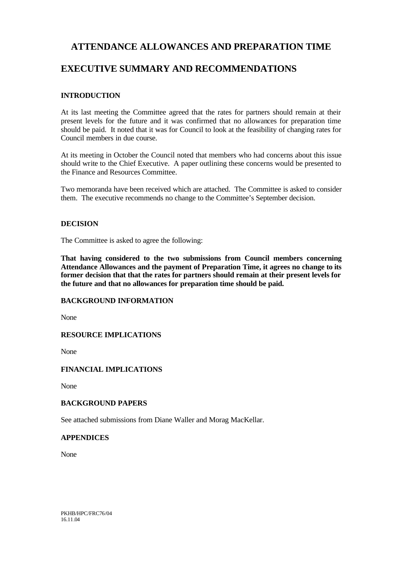# **ATTENDANCE ALLOWANCES AND PREPARATION TIME**

# **EXECUTIVE SUMMARY AND RECOMMENDATIONS**

### **INTRODUCTION**

At its last meeting the Committee agreed that the rates for partners should remain at their present levels for the future and it was confirmed that no allowances for preparation time should be paid. It noted that it was for Council to look at the feasibility of changing rates for Council members in due course.

At its meeting in October the Council noted that members who had concerns about this issue should write to the Chief Executive. A paper outlining these concerns would be presented to the Finance and Resources Committee.

Two memoranda have been received which are attached. The Committee is asked to consider them. The executive recommends no change to the Committee's September decision.

### **DECISION**

The Committee is asked to agree the following:

**That having considered to the two submissions from Council members concerning Attendance Allowances and the payment of Preparation Time, it agrees no change to its former decision that that the rates for partners should remain at their present levels for the future and that no allowances for preparation time should be paid.**

## **BACKGROUND INFORMATION**

None

### **RESOURCE IMPLICATIONS**

None

## **FINANCIAL IMPLICATIONS**

None

## **BACKGROUND PAPERS**

See attached submissions from Diane Waller and Morag MacKellar.

### **APPENDICES**

None

PKHB/HPC/FRC76/04 16.11.04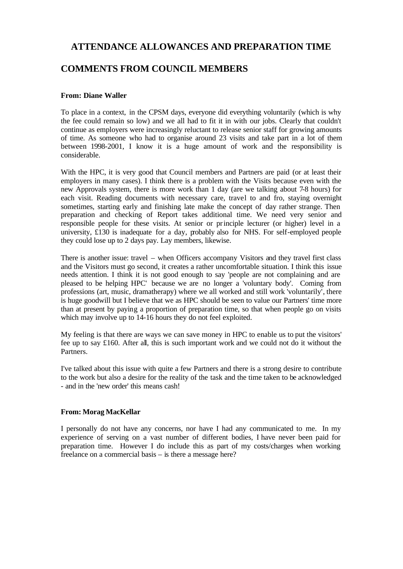# **ATTENDANCE ALLOWANCES AND PREPARATION TIME**

# **COMMENTS FROM COUNCIL MEMBERS**

#### **From: Diane Waller**

To place in a context, in the CPSM days, everyone did everything voluntarily (which is why the fee could remain so low) and we all had to fit it in with our jobs. Clearly that couldn't continue as employers were increasingly reluctant to release senior staff for growing amounts of time. As someone who had to organise around 23 visits and take part in a lot of them between 1998-2001, I know it is a huge amount of work and the responsibility is considerable.

With the HPC, it is very good that Council members and Partners are paid (or at least their employers in many cases). I think there is a problem with the Visits because even with the new Approvals system, there is more work than 1 day (are we talking about 7-8 hours) for each visit. Reading documents with necessary care, travel to and fro, staying overnight sometimes, starting early and finishing late make the concept of day rather strange. Then preparation and checking of Report takes additional time. We need very senior and responsible people for these visits. At senior or principle lecturer (or higher) level in a university, £130 is inadequate for a day, probably also for NHS. For self-employed people they could lose up to 2 days pay. Lay members, likewise.

There is another issue: travel – when Officers accompany Visitors and they travel first class and the Visitors must go second, it creates a rather uncomfortable situation. I think this issue needs attention. I think it is not good enough to say 'people are not complaining and are pleased to be helping HPC' because we are no longer a 'voluntary body'. Coming from professions (art, music, dramatherapy) where we all worked and still work 'voluntarily', there is huge goodwill but I believe that we as HPC should be seen to value our Partners' time more than at present by paying a proportion of preparation time, so that when people go on visits which may involve up to 14-16 hours they do not feel exploited.

My feeling is that there are ways we can save money in HPC to enable us to put the visitors' fee up to say £160. After all, this is such important work and we could not do it without the Partners.

I've talked about this issue with quite a few Partners and there is a strong desire to contribute to the work but also a desire for the reality of the task and the time taken to be acknowledged - and in the 'new order' this means cash!

#### **From: Morag MacKellar**

I personally do not have any concerns, nor have I had any communicated to me. In my experience of serving on a vast number of different bodies, I have never been paid for preparation time. However I do include this as part of my costs/charges when working freelance on a commercial basis – is there a message here?